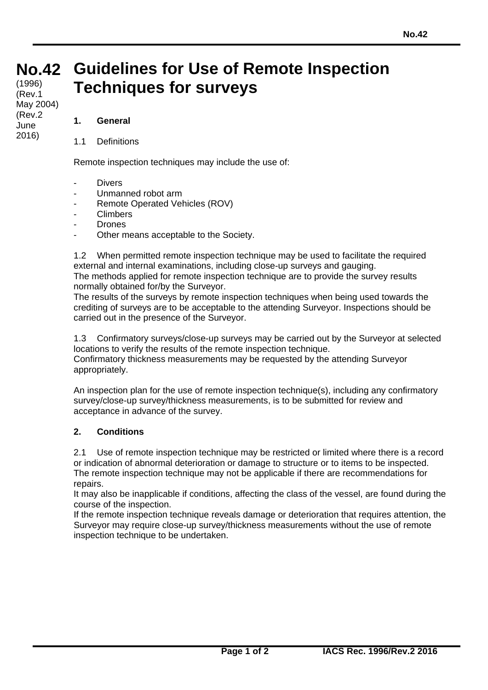## **No. Guidelines for Use of Remote Inspection No.42 42** (Rev.1 **Techniques for surveys** (1996)

## **1. General**

May 2004)

(Rev.2 June 2016)

1.1 Definitions

Remote inspection techniques may include the use of:

- Divers
- Unmanned robot arm
- Remote Operated Vehicles (ROV)
- **Climbers**
- **Drones**
- Other means acceptable to the Society.

1.2 When permitted remote inspection technique may be used to facilitate the required external and internal examinations, including close-up surveys and gauging. The methods applied for remote inspection technique are to provide the survey results normally obtained for/by the Surveyor.

The results of the surveys by remote inspection techniques when being used towards the crediting of surveys are to be acceptable to the attending Surveyor. Inspections should be carried out in the presence of the Surveyor.

1.3 Confirmatory surveys/close-up surveys may be carried out by the Surveyor at selected locations to verify the results of the remote inspection technique. Confirmatory thickness measurements may be requested by the attending Surveyor appropriately.

An inspection plan for the use of remote inspection technique(s), including any confirmatory survey/close-up survey/thickness measurements, is to be submitted for review and acceptance in advance of the survey.

## **2. Conditions**

2.1 Use of remote inspection technique may be restricted or limited where there is a record or indication of abnormal deterioration or damage to structure or to items to be inspected. The remote inspection technique may not be applicable if there are recommendations for repairs.

It may also be inapplicable if conditions, affecting the class of the vessel, are found during the course of the inspection.

If the remote inspection technique reveals damage or deterioration that requires attention, the Surveyor may require close-up survey/thickness measurements without the use of remote inspection technique to be undertaken.